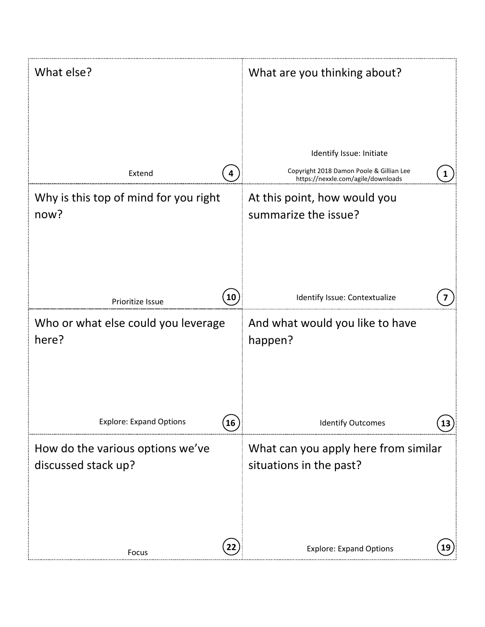| What else?                                                          | What are you thinking about?                                                   |
|---------------------------------------------------------------------|--------------------------------------------------------------------------------|
|                                                                     |                                                                                |
|                                                                     | Identify Issue: Initiate                                                       |
| Extend<br>4                                                         | Copyright 2018 Damon Poole & Gillian Lee<br>https://nexxle.com/agile/downloads |
| Why is this top of mind for you right                               | At this point, how would you                                                   |
| now?                                                                | summarize the issue?                                                           |
|                                                                     |                                                                                |
|                                                                     |                                                                                |
| $\left( \begin{matrix} 10 \end{matrix} \right)$<br>Prioritize Issue | Identify Issue: Contextualize                                                  |
| Who or what else could you leverage<br>here?                        | And what would you like to have<br>happen?                                     |
| <b>Explore: Expand Options</b><br>16                                | <b>Identify Outcomes</b>                                                       |
| How do the various options we've                                    | What can you apply here from similar                                           |
| discussed stack up?                                                 | situations in the past?                                                        |
|                                                                     |                                                                                |
|                                                                     |                                                                                |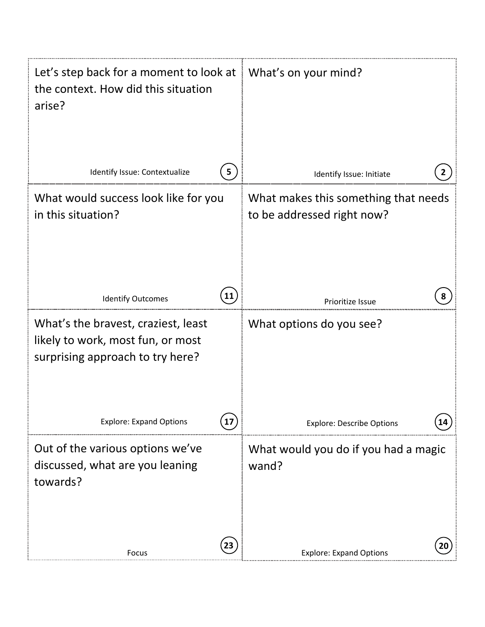| Let's step back for a moment to look at $\parallel$ What's on your mind?<br>the context. How did this situation<br>arise? |                                                                    |
|---------------------------------------------------------------------------------------------------------------------------|--------------------------------------------------------------------|
| Identify Issue: Contextualize<br>5                                                                                        | Identify Issue: Initiate                                           |
| What would success look like for you<br>in this situation?                                                                | What makes this something that needs<br>to be addressed right now? |
| 11<br><b>Identify Outcomes</b>                                                                                            | Prioritize Issue                                                   |
| What's the bravest, craziest, least<br>likely to work, most fun, or most<br>surprising approach to try here?              | What options do you see?                                           |
| <b>Explore: Expand Options</b>                                                                                            | <b>Explore: Describe Options</b>                                   |
| Out of the various options we've<br>discussed, what are you leaning<br>towards?                                           | What would you do if you had a magic<br>wand?                      |
| 23<br>Focus                                                                                                               | <b>Explore: Expand Options</b>                                     |